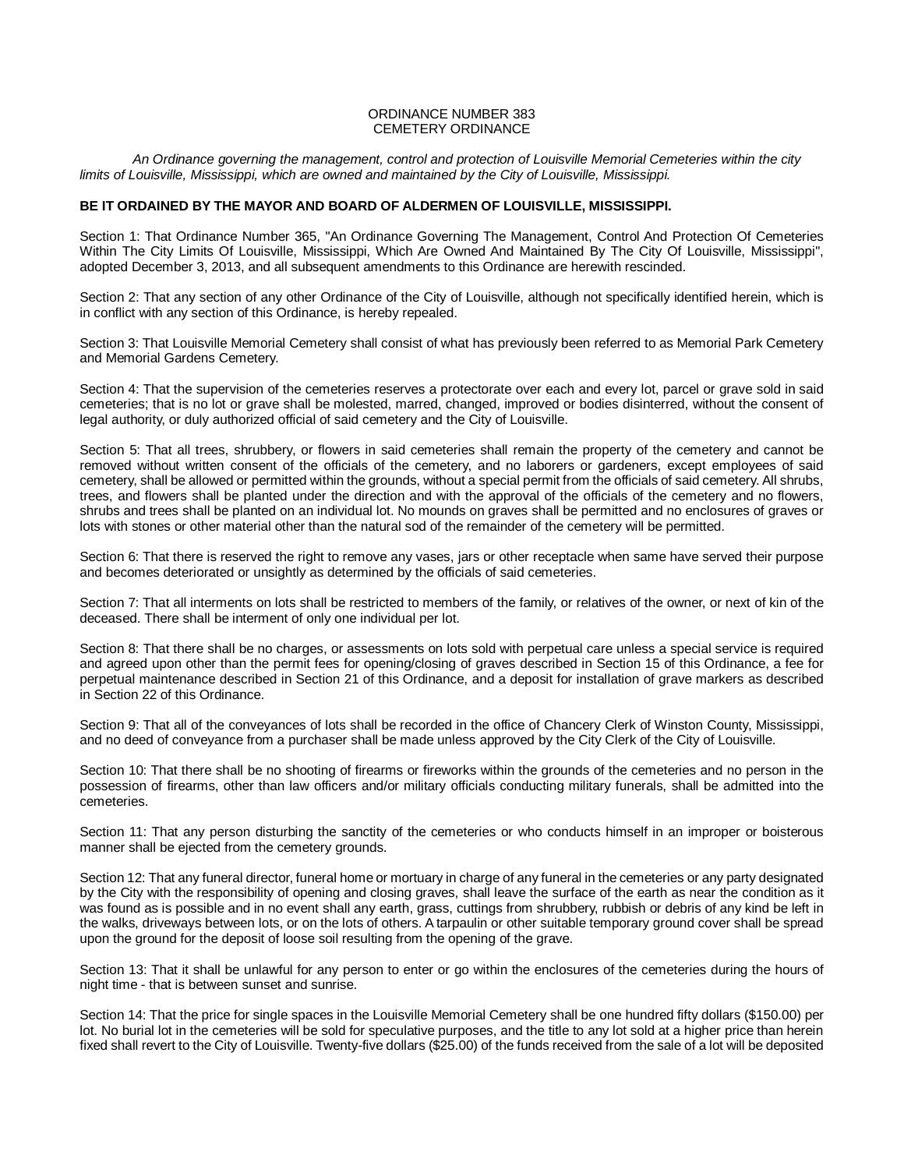## ORDINANCE NUMBER 383 CEMETERY ORDINANCE

*An Ordinance governing the management, control and protection of Louisville Memorial Cemeteries within the city limits of Louisville, Mississippi, which are owned and maintained by the City of Louisville, Mississippi.*

## **BE IT ORDAINED BY THE MAYOR AND BOARD OF ALDERMEN OF LOUISVILLE, MISSISSIPPI.**

Section 1: That Ordinance Number 365, "An Ordinance Governing The Management, Control And Protection Of Cemeteries Within The City Limits Of Louisville, Mississippi, Which Are Owned And Maintained By The City Of Louisville, Mississippi", adopted December 3, 2013, and all subsequent amendments to this Ordinance are herewith rescinded.

Section 2: That any section of any other Ordinance of the City of Louisville, although not specifically identified herein, which is in conflict with any section of this Ordinance, is hereby repealed.

Section 3: That Louisville Memorial Cemetery shall consist of what has previously been referred to as Memorial Park Cemetery and Memorial Gardens Cemetery.

Section 4: That the supervision of the cemeteries reserves a protectorate over each and every lot, parcel or grave sold in said cemeteries; that is no lot or grave shall be molested, marred, changed, improved or bodies disinterred, without the consent of legal authority, or duly authorized official of said cemetery and the City of Louisville.

Section 5: That all trees, shrubbery, or flowers in said cemeteries shall remain the property of the cemetery and cannot be removed without written consent of the officials of the cemetery, and no laborers or gardeners, except employees of said cemetery, shall be allowed or permitted within the grounds, without a special permit from the officials of said cemetery. All shrubs, trees, and flowers shall be planted under the direction and with the approval of the officials of the cemetery and no flowers, shrubs and trees shall be planted on an individual lot. No mounds on graves shall be permitted and no enclosures of graves or lots with stones or other material other than the natural sod of the remainder of the cemetery will be permitted.

Section 6: That there is reserved the right to remove any vases, jars or other receptacle when same have served their purpose and becomes deteriorated or unsightly as determined by the officials of said cemeteries.

Section 7: That all interments on lots shall be restricted to members of the family, or relatives of the owner, or next of kin of the deceased. There shall be interment of only one individual per lot.

Section 8: That there shall be no charges, or assessments on lots sold with perpetual care unless a special service is required and agreed upon other than the permit fees for opening/closing of graves described in Section 15 of this Ordinance, a fee for perpetual maintenance described in Section 21 of this Ordinance, and a deposit for installation of grave markers as described in Section 22 of this Ordinance.

Section 9: That all of the conveyances of lots shall be recorded in the office of Chancery Clerk of Winston County, Mississippi, and no deed of conveyance from a purchaser shall be made unless approved by the City Clerk of the City of Louisville.

Section 10: That there shall be no shooting of firearms or fireworks within the grounds of the cemeteries and no person in the possession of firearms, other than law officers and/or military officials conducting military funerals, shall be admitted into the cemeteries.

Section 11: That any person disturbing the sanctity of the cemeteries or who conducts himself in an improper or boisterous manner shall be ejected from the cemetery grounds.

Section 12: That any funeral director, funeral home or mortuary in charge of any funeral in the cemeteries or any party designated by the City with the responsibility of opening and closing graves, shall leave the surface of the earth as near the condition as it was found as is possible and in no event shall any earth, grass, cuttings from shrubbery, rubbish or debris of any kind be left in the walks, driveways between lots, or on the lots of others. A tarpaulin or other suitable temporary ground cover shall be spread upon the ground for the deposit of loose soil resulting from the opening of the grave.

Section 13: That it shall be unlawful for any person to enter or go within the enclosures of the cemeteries during the hours of night time - that is between sunset and sunrise.

Section 14: That the price for single spaces in the Louisville Memorial Cemetery shall be one hundred fifty dollars (\$150.00) per lot. No burial lot in the cemeteries will be sold for speculative purposes, and the title to any lot sold at a higher price than herein fixed shall revert to the City of Louisville. Twenty-five dollars (\$25.00) of the funds received from the sale of a lot will be deposited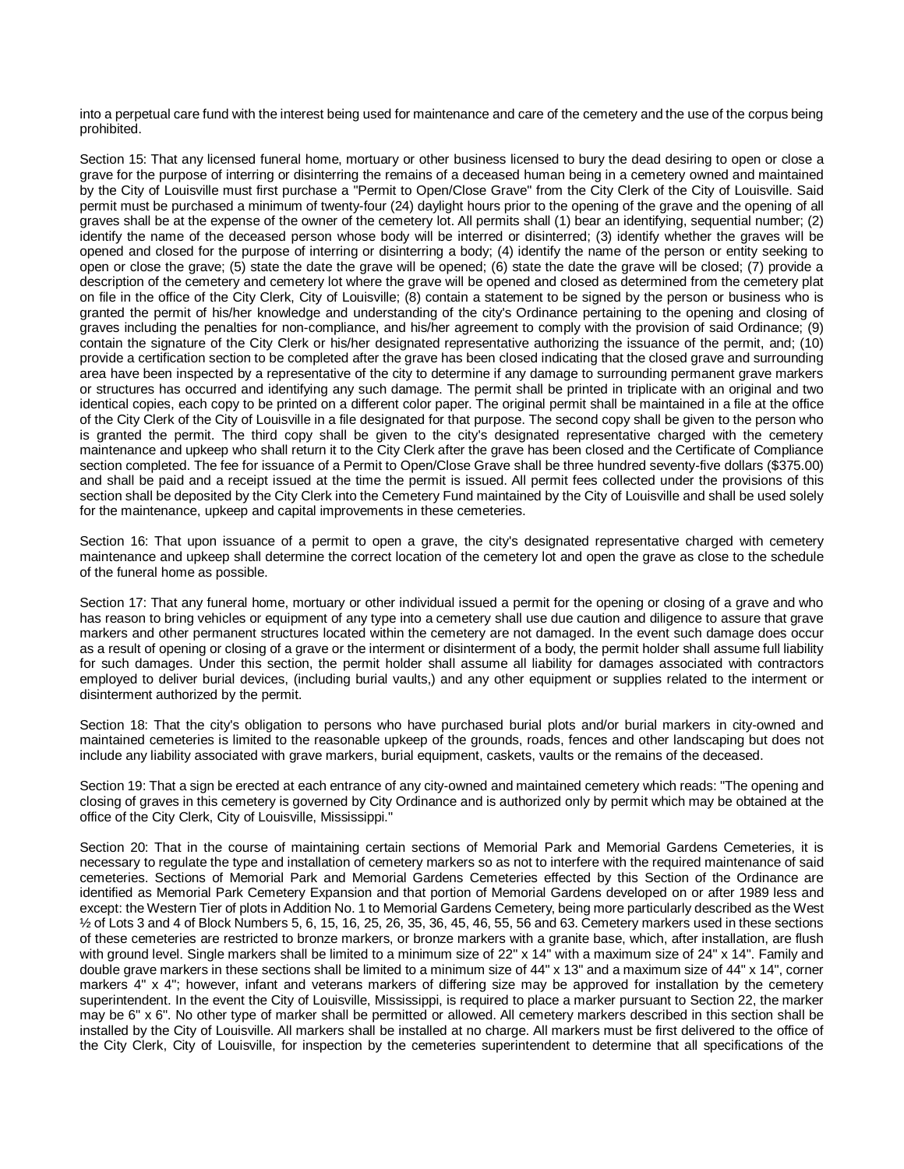into a perpetual care fund with the interest being used for maintenance and care of the cemetery and the use of the corpus being prohibited.

Section 15: That any licensed funeral home, mortuary or other business licensed to bury the dead desiring to open or close a grave for the purpose of interring or disinterring the remains of a deceased human being in a cemetery owned and maintained by the City of Louisville must first purchase a "Permit to Open/Close Grave" from the City Clerk of the City of Louisville. Said permit must be purchased a minimum of twenty-four (24) daylight hours prior to the opening of the grave and the opening of all graves shall be at the expense of the owner of the cemetery lot. All permits shall (1) bear an identifying, sequential number; (2) identify the name of the deceased person whose body will be interred or disinterred; (3) identify whether the graves will be opened and closed for the purpose of interring or disinterring a body; (4) identify the name of the person or entity seeking to open or close the grave; (5) state the date the grave will be opened; (6) state the date the grave will be closed; (7) provide a description of the cemetery and cemetery lot where the grave will be opened and closed as determined from the cemetery plat on file in the office of the City Clerk, City of Louisville; (8) contain a statement to be signed by the person or business who is granted the permit of his/her knowledge and understanding of the city's Ordinance pertaining to the opening and closing of graves including the penalties for non-compliance, and his/her agreement to comply with the provision of said Ordinance; (9) contain the signature of the City Clerk or his/her designated representative authorizing the issuance of the permit, and; (10) provide a certification section to be completed after the grave has been closed indicating that the closed grave and surrounding area have been inspected by a representative of the city to determine if any damage to surrounding permanent grave markers or structures has occurred and identifying any such damage. The permit shall be printed in triplicate with an original and two identical copies, each copy to be printed on a different color paper. The original permit shall be maintained in a file at the office of the City Clerk of the City of Louisville in a file designated for that purpose. The second copy shall be given to the person who is granted the permit. The third copy shall be given to the city's designated representative charged with the cemetery maintenance and upkeep who shall return it to the City Clerk after the grave has been closed and the Certificate of Compliance section completed. The fee for issuance of a Permit to Open/Close Grave shall be three hundred seventy-five dollars (\$375.00) and shall be paid and a receipt issued at the time the permit is issued. All permit fees collected under the provisions of this section shall be deposited by the City Clerk into the Cemetery Fund maintained by the City of Louisville and shall be used solely for the maintenance, upkeep and capital improvements in these cemeteries.

Section 16: That upon issuance of a permit to open a grave, the city's designated representative charged with cemetery maintenance and upkeep shall determine the correct location of the cemetery lot and open the grave as close to the schedule of the funeral home as possible.

Section 17: That any funeral home, mortuary or other individual issued a permit for the opening or closing of a grave and who has reason to bring vehicles or equipment of any type into a cemetery shall use due caution and diligence to assure that grave markers and other permanent structures located within the cemetery are not damaged. In the event such damage does occur as a result of opening or closing of a grave or the interment or disinterment of a body, the permit holder shall assume full liability for such damages. Under this section, the permit holder shall assume all liability for damages associated with contractors employed to deliver burial devices, (including burial vaults,) and any other equipment or supplies related to the interment or disinterment authorized by the permit.

Section 18: That the city's obligation to persons who have purchased burial plots and/or burial markers in city-owned and maintained cemeteries is limited to the reasonable upkeep of the grounds, roads, fences and other landscaping but does not include any liability associated with grave markers, burial equipment, caskets, vaults or the remains of the deceased.

Section 19: That a sign be erected at each entrance of any city-owned and maintained cemetery which reads: "The opening and closing of graves in this cemetery is governed by City Ordinance and is authorized only by permit which may be obtained at the office of the City Clerk, City of Louisville, Mississippi."

Section 20: That in the course of maintaining certain sections of Memorial Park and Memorial Gardens Cemeteries, it is necessary to regulate the type and installation of cemetery markers so as not to interfere with the required maintenance of said cemeteries. Sections of Memorial Park and Memorial Gardens Cemeteries effected by this Section of the Ordinance are identified as Memorial Park Cemetery Expansion and that portion of Memorial Gardens developed on or after 1989 less and except: the Western Tier of plots in Addition No. 1 to Memorial Gardens Cemetery, being more particularly described as the West ½ of Lots 3 and 4 of Block Numbers 5, 6, 15, 16, 25, 26, 35, 36, 45, 46, 55, 56 and 63. Cemetery markers used in these sections of these cemeteries are restricted to bronze markers, or bronze markers with a granite base, which, after installation, are flush with ground level. Single markers shall be limited to a minimum size of 22" x 14" with a maximum size of 24" x 14". Family and double grave markers in these sections shall be limited to a minimum size of 44" x 13" and a maximum size of 44" x 14", corner markers 4" x 4"; however, infant and veterans markers of differing size may be approved for installation by the cemetery superintendent. In the event the City of Louisville, Mississippi, is required to place a marker pursuant to Section 22, the marker may be 6" x 6". No other type of marker shall be permitted or allowed. All cemetery markers described in this section shall be installed by the City of Louisville. All markers shall be installed at no charge. All markers must be first delivered to the office of the City Clerk, City of Louisville, for inspection by the cemeteries superintendent to determine that all specifications of the